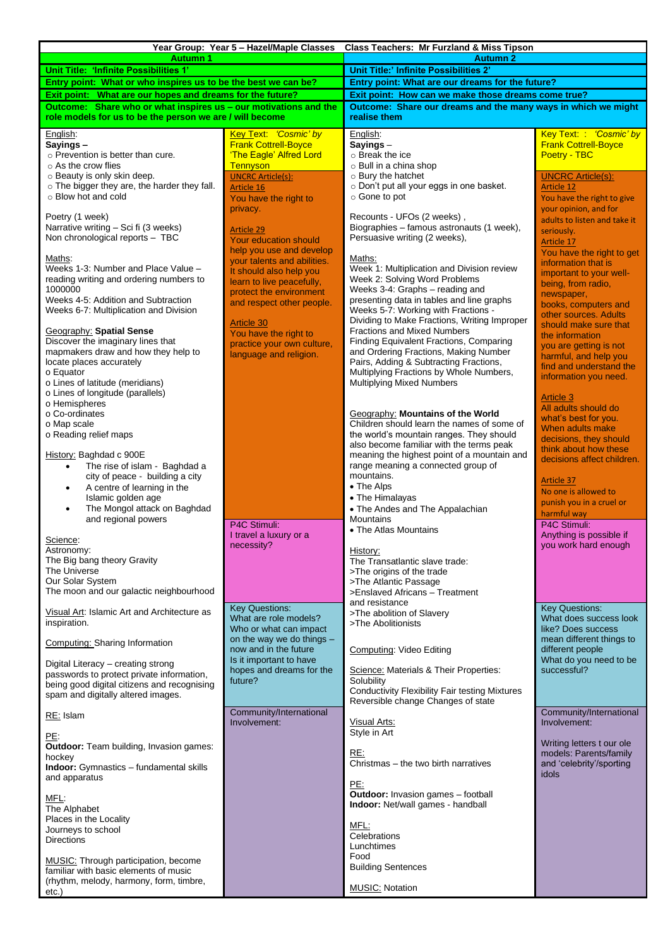| Unit Title:' Infinite Possibilities 2'<br>Unit Title: 'Infinite Possibilities 1'<br>Entry point: What or who inspires us to be the best we can be?<br>Entry point: What are our dreams for the future?<br>Exit point: How can we make those dreams come true?<br>Exit point: What are our hopes and dreams for the future?<br>Outcome: Share who or what inspires us - our motivations and the<br>Outcome: Share our dreams and the many ways in which we might<br>role models for us to be the person we are / will become<br>realise them<br>Key Text: 'Cosmic' by<br>Key Text: 'Cosmic' by<br>English:<br>English:<br><b>Frank Cottrell-Boyce</b><br><b>Frank Cottrell-Boyce</b><br>Sayings-<br>Sayings-<br>'The Eagle' Alfred Lord<br>Poetry - TBC<br>$\circ$ Prevention is better than cure.<br>o Break the ice<br>$\circ$ As the crow flies<br><b>Tennyson</b><br>o Bull in a china shop<br>o Beauty is only skin deep.<br>○ Bury the hatchet<br><b>UNCRC Article(s):</b><br><b>UNCRC Article(s):</b><br>o The bigger they are, the harder they fall.<br>o Don't put all your eggs in one basket.<br><b>Article 12</b><br>Article 16<br>o Blow hot and cold<br>○ Gone to pot<br>You have the right to give<br>You have the right to<br>your opinion, and for<br>privacy.<br>Poetry (1 week)<br>Recounts - UFOs (2 weeks),<br>adults to listen and take it<br>Narrative writing - Sci fi (3 weeks)<br>Biographies - famous astronauts (1 week),<br>Article 29<br>seriously.<br>Persuasive writing (2 weeks),<br>Non chronological reports - TBC<br><b>Your education should</b><br>Article 17<br>help you use and develop<br>You have the right to get<br>Maths:<br>Maths:<br>your talents and abilities.<br>information that is<br>Weeks 1-3: Number and Place Value -<br>Week 1: Multiplication and Division review<br>It should also help you<br>important to your well-<br>Week 2: Solving Word Problems<br>reading writing and ordering numbers to<br>learn to live peacefully,<br>being, from radio,<br>1000000<br>Weeks 3-4: Graphs - reading and<br>protect the environment<br>newspaper,<br>Weeks 4-5: Addition and Subtraction<br>presenting data in tables and line graphs<br>and respect other people.<br>books, computers and<br>Weeks 5-7: Working with Fractions -<br>Weeks 6-7: Multiplication and Division<br>other sources. Adults<br>Dividing to Make Fractions, Writing Improper<br><b>Article 30</b><br>should make sure that<br>Fractions and Mixed Numbers<br><b>Geography: Spatial Sense</b><br>You have the right to<br>the information<br>Discover the imaginary lines that<br>Finding Equivalent Fractions, Comparing<br>practice your own culture,<br>you are getting is not<br>mapmakers draw and how they help to<br>and Ordering Fractions, Making Number<br>language and religion.<br>harmful, and help you<br>Pairs, Adding & Subtracting Fractions,<br>locate places accurately<br>find and understand the<br>Multiplying Fractions by Whole Numbers,<br>o Equator<br>information you need.<br><b>Multiplying Mixed Numbers</b><br>o Lines of latitude (meridians)<br>o Lines of longitude (parallels)<br><b>Article 3</b><br>o Hemispheres<br>All adults should do<br>o Co-ordinates<br>Geography: Mountains of the World<br>what's best for you.<br>Children should learn the names of some of<br>o Map scale<br>When adults make<br>o Reading relief maps<br>the world's mountain ranges. They should<br>decisions, they should<br>also become familiar with the terms peak<br>think about how these<br>History: Baghdad c 900E<br>meaning the highest point of a mountain and<br>decisions affect children.<br>range meaning a connected group of<br>The rise of islam - Baghdad a<br>mountains.<br>city of peace - building a city<br><b>Article 37</b><br>A centre of learning in the<br>• The Alps<br>٠<br>No one is allowed to<br>Islamic golden age<br>• The Himalayas<br>punish you in a cruel or<br>• The Andes and The Appalachian<br>The Mongol attack on Baghdad<br>$\bullet$<br>harmful way<br><b>Mountains</b><br>and regional powers<br>P4C Stimuli:<br>P4C Stimuli:<br>• The Atlas Mountains<br>Anything is possible if<br>I travel a luxury or a<br>Science:<br>necessity?<br>you work hard enough<br>Astronomy:<br>History:<br>The Big bang theory Gravity<br>The Transatlantic slave trade:<br>The Universe<br>>The origins of the trade<br>Our Solar System<br>>The Atlantic Passage<br>The moon and our galactic neighbourhood<br>>Enslaved Africans - Treatment<br>and resistance<br><b>Key Questions:</b><br><b>Key Questions:</b><br>Visual Art: Islamic Art and Architecture as<br>>The abolition of Slavery<br>What does success look<br>What are role models?<br>inspiration.<br>>The Abolitionists<br>like? Does success<br>Who or what can impact<br>mean different things to<br>on the way we do things $-$<br>Computing: Sharing Information<br>now and in the future<br><b>Computing: Video Editing</b><br>different people<br>What do you need to be<br>Is it important to have<br>Digital Literacy - creating strong<br>hopes and dreams for the<br>successful?<br>Science: Materials & Their Properties:<br>passwords to protect private information,<br>Solubility<br>future?<br>being good digital citizens and recognising<br><b>Conductivity Flexibility Fair testing Mixtures</b><br>spam and digitally altered images.<br>Reversible change Changes of state<br>Community/International<br>Community/International<br>RE: Islam<br>Involvement:<br>Visual Arts:<br>Involvement:<br>Style in Art<br>PE:<br>Writing letters t our ole<br>Outdoor: Team building, Invasion games:<br>RE:<br>models: Parents/family<br>hockey<br>Christmas – the two birth narratives<br>and 'celebrity'/sporting<br><b>Indoor:</b> Gymnastics - fundamental skills<br>idols<br>and apparatus<br>PE:<br><b>Outdoor:</b> Invasion games - football<br>MFL:<br>Indoor: Net/wall games - handball<br>The Alphabet<br>Places in the Locality<br>MFL:<br>Journeys to school<br>Celebrations<br><b>Directions</b><br>Lunchtimes<br>Food<br>MUSIC: Through participation, become<br><b>Building Sentences</b><br>familiar with basic elements of music<br>(rhythm, melody, harmony, form, timbre,<br><b>MUSIC: Notation</b><br>etc.) | Year Group: Year 5 - Hazel/Maple Classes Class Teachers: Mr Furzland & Miss Tipson |  |                 |  |  |  |
|---------------------------------------------------------------------------------------------------------------------------------------------------------------------------------------------------------------------------------------------------------------------------------------------------------------------------------------------------------------------------------------------------------------------------------------------------------------------------------------------------------------------------------------------------------------------------------------------------------------------------------------------------------------------------------------------------------------------------------------------------------------------------------------------------------------------------------------------------------------------------------------------------------------------------------------------------------------------------------------------------------------------------------------------------------------------------------------------------------------------------------------------------------------------------------------------------------------------------------------------------------------------------------------------------------------------------------------------------------------------------------------------------------------------------------------------------------------------------------------------------------------------------------------------------------------------------------------------------------------------------------------------------------------------------------------------------------------------------------------------------------------------------------------------------------------------------------------------------------------------------------------------------------------------------------------------------------------------------------------------------------------------------------------------------------------------------------------------------------------------------------------------------------------------------------------------------------------------------------------------------------------------------------------------------------------------------------------------------------------------------------------------------------------------------------------------------------------------------------------------------------------------------------------------------------------------------------------------------------------------------------------------------------------------------------------------------------------------------------------------------------------------------------------------------------------------------------------------------------------------------------------------------------------------------------------------------------------------------------------------------------------------------------------------------------------------------------------------------------------------------------------------------------------------------------------------------------------------------------------------------------------------------------------------------------------------------------------------------------------------------------------------------------------------------------------------------------------------------------------------------------------------------------------------------------------------------------------------------------------------------------------------------------------------------------------------------------------------------------------------------------------------------------------------------------------------------------------------------------------------------------------------------------------------------------------------------------------------------------------------------------------------------------------------------------------------------------------------------------------------------------------------------------------------------------------------------------------------------------------------------------------------------------------------------------------------------------------------------------------------------------------------------------------------------------------------------------------------------------------------------------------------------------------------------------------------------------------------------------------------------------------------------------------------------------------------------------------------------------------------------------------------------------------------------------------------------------------------------------------------------------------------------------------------------------------------------------------------------------------------------------------------------------------------------------------------------------------------------------------------------------------------------------------------------------------------------------------------------------------------------------------------------------------------------------------------------------------------------------------------------------------------------------------------------------------------------------------------------------------------------------------------------------------------------------------------------------------------------------------------------------------------------------------------------------------------------------------------------------------------------------------------------------------------------------------------------------------------------------------------------------------------------------------------------------------------------------------------------------------------------------------------------------------------------------------------------------------------------------------------------------------------------------------------------------------------------------------------------------------------------------------------------------------------|------------------------------------------------------------------------------------|--|-----------------|--|--|--|
|                                                                                                                                                                                                                                                                                                                                                                                                                                                                                                                                                                                                                                                                                                                                                                                                                                                                                                                                                                                                                                                                                                                                                                                                                                                                                                                                                                                                                                                                                                                                                                                                                                                                                                                                                                                                                                                                                                                                                                                                                                                                                                                                                                                                                                                                                                                                                                                                                                                                                                                                                                                                                                                                                                                                                                                                                                                                                                                                                                                                                                                                                                                                                                                                                                                                                                                                                                                                                                                                                                                                                                                                                                                                                                                                                                                                                                                                                                                                                                                                                                                                                                                                                                                                                                                                                                                                                                                                                                                                                                                                                                                                                                                                                                                                                                                                                                                                                                                                                                                                                                                                                                                                                                                                                                                                                                                                                                                                                                                                                                                                                                                                                                                                                                                                                                                                                                                                                                                                                                                                                                                                                                                                                                                                                                                                                             | <b>Autumn 1</b>                                                                    |  | <b>Autumn 2</b> |  |  |  |
|                                                                                                                                                                                                                                                                                                                                                                                                                                                                                                                                                                                                                                                                                                                                                                                                                                                                                                                                                                                                                                                                                                                                                                                                                                                                                                                                                                                                                                                                                                                                                                                                                                                                                                                                                                                                                                                                                                                                                                                                                                                                                                                                                                                                                                                                                                                                                                                                                                                                                                                                                                                                                                                                                                                                                                                                                                                                                                                                                                                                                                                                                                                                                                                                                                                                                                                                                                                                                                                                                                                                                                                                                                                                                                                                                                                                                                                                                                                                                                                                                                                                                                                                                                                                                                                                                                                                                                                                                                                                                                                                                                                                                                                                                                                                                                                                                                                                                                                                                                                                                                                                                                                                                                                                                                                                                                                                                                                                                                                                                                                                                                                                                                                                                                                                                                                                                                                                                                                                                                                                                                                                                                                                                                                                                                                                                             |                                                                                    |  |                 |  |  |  |
|                                                                                                                                                                                                                                                                                                                                                                                                                                                                                                                                                                                                                                                                                                                                                                                                                                                                                                                                                                                                                                                                                                                                                                                                                                                                                                                                                                                                                                                                                                                                                                                                                                                                                                                                                                                                                                                                                                                                                                                                                                                                                                                                                                                                                                                                                                                                                                                                                                                                                                                                                                                                                                                                                                                                                                                                                                                                                                                                                                                                                                                                                                                                                                                                                                                                                                                                                                                                                                                                                                                                                                                                                                                                                                                                                                                                                                                                                                                                                                                                                                                                                                                                                                                                                                                                                                                                                                                                                                                                                                                                                                                                                                                                                                                                                                                                                                                                                                                                                                                                                                                                                                                                                                                                                                                                                                                                                                                                                                                                                                                                                                                                                                                                                                                                                                                                                                                                                                                                                                                                                                                                                                                                                                                                                                                                                             |                                                                                    |  |                 |  |  |  |
|                                                                                                                                                                                                                                                                                                                                                                                                                                                                                                                                                                                                                                                                                                                                                                                                                                                                                                                                                                                                                                                                                                                                                                                                                                                                                                                                                                                                                                                                                                                                                                                                                                                                                                                                                                                                                                                                                                                                                                                                                                                                                                                                                                                                                                                                                                                                                                                                                                                                                                                                                                                                                                                                                                                                                                                                                                                                                                                                                                                                                                                                                                                                                                                                                                                                                                                                                                                                                                                                                                                                                                                                                                                                                                                                                                                                                                                                                                                                                                                                                                                                                                                                                                                                                                                                                                                                                                                                                                                                                                                                                                                                                                                                                                                                                                                                                                                                                                                                                                                                                                                                                                                                                                                                                                                                                                                                                                                                                                                                                                                                                                                                                                                                                                                                                                                                                                                                                                                                                                                                                                                                                                                                                                                                                                                                                             |                                                                                    |  |                 |  |  |  |
|                                                                                                                                                                                                                                                                                                                                                                                                                                                                                                                                                                                                                                                                                                                                                                                                                                                                                                                                                                                                                                                                                                                                                                                                                                                                                                                                                                                                                                                                                                                                                                                                                                                                                                                                                                                                                                                                                                                                                                                                                                                                                                                                                                                                                                                                                                                                                                                                                                                                                                                                                                                                                                                                                                                                                                                                                                                                                                                                                                                                                                                                                                                                                                                                                                                                                                                                                                                                                                                                                                                                                                                                                                                                                                                                                                                                                                                                                                                                                                                                                                                                                                                                                                                                                                                                                                                                                                                                                                                                                                                                                                                                                                                                                                                                                                                                                                                                                                                                                                                                                                                                                                                                                                                                                                                                                                                                                                                                                                                                                                                                                                                                                                                                                                                                                                                                                                                                                                                                                                                                                                                                                                                                                                                                                                                                                             |                                                                                    |  |                 |  |  |  |
|                                                                                                                                                                                                                                                                                                                                                                                                                                                                                                                                                                                                                                                                                                                                                                                                                                                                                                                                                                                                                                                                                                                                                                                                                                                                                                                                                                                                                                                                                                                                                                                                                                                                                                                                                                                                                                                                                                                                                                                                                                                                                                                                                                                                                                                                                                                                                                                                                                                                                                                                                                                                                                                                                                                                                                                                                                                                                                                                                                                                                                                                                                                                                                                                                                                                                                                                                                                                                                                                                                                                                                                                                                                                                                                                                                                                                                                                                                                                                                                                                                                                                                                                                                                                                                                                                                                                                                                                                                                                                                                                                                                                                                                                                                                                                                                                                                                                                                                                                                                                                                                                                                                                                                                                                                                                                                                                                                                                                                                                                                                                                                                                                                                                                                                                                                                                                                                                                                                                                                                                                                                                                                                                                                                                                                                                                             |                                                                                    |  |                 |  |  |  |
|                                                                                                                                                                                                                                                                                                                                                                                                                                                                                                                                                                                                                                                                                                                                                                                                                                                                                                                                                                                                                                                                                                                                                                                                                                                                                                                                                                                                                                                                                                                                                                                                                                                                                                                                                                                                                                                                                                                                                                                                                                                                                                                                                                                                                                                                                                                                                                                                                                                                                                                                                                                                                                                                                                                                                                                                                                                                                                                                                                                                                                                                                                                                                                                                                                                                                                                                                                                                                                                                                                                                                                                                                                                                                                                                                                                                                                                                                                                                                                                                                                                                                                                                                                                                                                                                                                                                                                                                                                                                                                                                                                                                                                                                                                                                                                                                                                                                                                                                                                                                                                                                                                                                                                                                                                                                                                                                                                                                                                                                                                                                                                                                                                                                                                                                                                                                                                                                                                                                                                                                                                                                                                                                                                                                                                                                                             |                                                                                    |  |                 |  |  |  |
|                                                                                                                                                                                                                                                                                                                                                                                                                                                                                                                                                                                                                                                                                                                                                                                                                                                                                                                                                                                                                                                                                                                                                                                                                                                                                                                                                                                                                                                                                                                                                                                                                                                                                                                                                                                                                                                                                                                                                                                                                                                                                                                                                                                                                                                                                                                                                                                                                                                                                                                                                                                                                                                                                                                                                                                                                                                                                                                                                                                                                                                                                                                                                                                                                                                                                                                                                                                                                                                                                                                                                                                                                                                                                                                                                                                                                                                                                                                                                                                                                                                                                                                                                                                                                                                                                                                                                                                                                                                                                                                                                                                                                                                                                                                                                                                                                                                                                                                                                                                                                                                                                                                                                                                                                                                                                                                                                                                                                                                                                                                                                                                                                                                                                                                                                                                                                                                                                                                                                                                                                                                                                                                                                                                                                                                                                             |                                                                                    |  |                 |  |  |  |
|                                                                                                                                                                                                                                                                                                                                                                                                                                                                                                                                                                                                                                                                                                                                                                                                                                                                                                                                                                                                                                                                                                                                                                                                                                                                                                                                                                                                                                                                                                                                                                                                                                                                                                                                                                                                                                                                                                                                                                                                                                                                                                                                                                                                                                                                                                                                                                                                                                                                                                                                                                                                                                                                                                                                                                                                                                                                                                                                                                                                                                                                                                                                                                                                                                                                                                                                                                                                                                                                                                                                                                                                                                                                                                                                                                                                                                                                                                                                                                                                                                                                                                                                                                                                                                                                                                                                                                                                                                                                                                                                                                                                                                                                                                                                                                                                                                                                                                                                                                                                                                                                                                                                                                                                                                                                                                                                                                                                                                                                                                                                                                                                                                                                                                                                                                                                                                                                                                                                                                                                                                                                                                                                                                                                                                                                                             |                                                                                    |  |                 |  |  |  |
|                                                                                                                                                                                                                                                                                                                                                                                                                                                                                                                                                                                                                                                                                                                                                                                                                                                                                                                                                                                                                                                                                                                                                                                                                                                                                                                                                                                                                                                                                                                                                                                                                                                                                                                                                                                                                                                                                                                                                                                                                                                                                                                                                                                                                                                                                                                                                                                                                                                                                                                                                                                                                                                                                                                                                                                                                                                                                                                                                                                                                                                                                                                                                                                                                                                                                                                                                                                                                                                                                                                                                                                                                                                                                                                                                                                                                                                                                                                                                                                                                                                                                                                                                                                                                                                                                                                                                                                                                                                                                                                                                                                                                                                                                                                                                                                                                                                                                                                                                                                                                                                                                                                                                                                                                                                                                                                                                                                                                                                                                                                                                                                                                                                                                                                                                                                                                                                                                                                                                                                                                                                                                                                                                                                                                                                                                             |                                                                                    |  |                 |  |  |  |
|                                                                                                                                                                                                                                                                                                                                                                                                                                                                                                                                                                                                                                                                                                                                                                                                                                                                                                                                                                                                                                                                                                                                                                                                                                                                                                                                                                                                                                                                                                                                                                                                                                                                                                                                                                                                                                                                                                                                                                                                                                                                                                                                                                                                                                                                                                                                                                                                                                                                                                                                                                                                                                                                                                                                                                                                                                                                                                                                                                                                                                                                                                                                                                                                                                                                                                                                                                                                                                                                                                                                                                                                                                                                                                                                                                                                                                                                                                                                                                                                                                                                                                                                                                                                                                                                                                                                                                                                                                                                                                                                                                                                                                                                                                                                                                                                                                                                                                                                                                                                                                                                                                                                                                                                                                                                                                                                                                                                                                                                                                                                                                                                                                                                                                                                                                                                                                                                                                                                                                                                                                                                                                                                                                                                                                                                                             |                                                                                    |  |                 |  |  |  |
|                                                                                                                                                                                                                                                                                                                                                                                                                                                                                                                                                                                                                                                                                                                                                                                                                                                                                                                                                                                                                                                                                                                                                                                                                                                                                                                                                                                                                                                                                                                                                                                                                                                                                                                                                                                                                                                                                                                                                                                                                                                                                                                                                                                                                                                                                                                                                                                                                                                                                                                                                                                                                                                                                                                                                                                                                                                                                                                                                                                                                                                                                                                                                                                                                                                                                                                                                                                                                                                                                                                                                                                                                                                                                                                                                                                                                                                                                                                                                                                                                                                                                                                                                                                                                                                                                                                                                                                                                                                                                                                                                                                                                                                                                                                                                                                                                                                                                                                                                                                                                                                                                                                                                                                                                                                                                                                                                                                                                                                                                                                                                                                                                                                                                                                                                                                                                                                                                                                                                                                                                                                                                                                                                                                                                                                                                             |                                                                                    |  |                 |  |  |  |
|                                                                                                                                                                                                                                                                                                                                                                                                                                                                                                                                                                                                                                                                                                                                                                                                                                                                                                                                                                                                                                                                                                                                                                                                                                                                                                                                                                                                                                                                                                                                                                                                                                                                                                                                                                                                                                                                                                                                                                                                                                                                                                                                                                                                                                                                                                                                                                                                                                                                                                                                                                                                                                                                                                                                                                                                                                                                                                                                                                                                                                                                                                                                                                                                                                                                                                                                                                                                                                                                                                                                                                                                                                                                                                                                                                                                                                                                                                                                                                                                                                                                                                                                                                                                                                                                                                                                                                                                                                                                                                                                                                                                                                                                                                                                                                                                                                                                                                                                                                                                                                                                                                                                                                                                                                                                                                                                                                                                                                                                                                                                                                                                                                                                                                                                                                                                                                                                                                                                                                                                                                                                                                                                                                                                                                                                                             |                                                                                    |  |                 |  |  |  |
|                                                                                                                                                                                                                                                                                                                                                                                                                                                                                                                                                                                                                                                                                                                                                                                                                                                                                                                                                                                                                                                                                                                                                                                                                                                                                                                                                                                                                                                                                                                                                                                                                                                                                                                                                                                                                                                                                                                                                                                                                                                                                                                                                                                                                                                                                                                                                                                                                                                                                                                                                                                                                                                                                                                                                                                                                                                                                                                                                                                                                                                                                                                                                                                                                                                                                                                                                                                                                                                                                                                                                                                                                                                                                                                                                                                                                                                                                                                                                                                                                                                                                                                                                                                                                                                                                                                                                                                                                                                                                                                                                                                                                                                                                                                                                                                                                                                                                                                                                                                                                                                                                                                                                                                                                                                                                                                                                                                                                                                                                                                                                                                                                                                                                                                                                                                                                                                                                                                                                                                                                                                                                                                                                                                                                                                                                             |                                                                                    |  |                 |  |  |  |
|                                                                                                                                                                                                                                                                                                                                                                                                                                                                                                                                                                                                                                                                                                                                                                                                                                                                                                                                                                                                                                                                                                                                                                                                                                                                                                                                                                                                                                                                                                                                                                                                                                                                                                                                                                                                                                                                                                                                                                                                                                                                                                                                                                                                                                                                                                                                                                                                                                                                                                                                                                                                                                                                                                                                                                                                                                                                                                                                                                                                                                                                                                                                                                                                                                                                                                                                                                                                                                                                                                                                                                                                                                                                                                                                                                                                                                                                                                                                                                                                                                                                                                                                                                                                                                                                                                                                                                                                                                                                                                                                                                                                                                                                                                                                                                                                                                                                                                                                                                                                                                                                                                                                                                                                                                                                                                                                                                                                                                                                                                                                                                                                                                                                                                                                                                                                                                                                                                                                                                                                                                                                                                                                                                                                                                                                                             |                                                                                    |  |                 |  |  |  |
|                                                                                                                                                                                                                                                                                                                                                                                                                                                                                                                                                                                                                                                                                                                                                                                                                                                                                                                                                                                                                                                                                                                                                                                                                                                                                                                                                                                                                                                                                                                                                                                                                                                                                                                                                                                                                                                                                                                                                                                                                                                                                                                                                                                                                                                                                                                                                                                                                                                                                                                                                                                                                                                                                                                                                                                                                                                                                                                                                                                                                                                                                                                                                                                                                                                                                                                                                                                                                                                                                                                                                                                                                                                                                                                                                                                                                                                                                                                                                                                                                                                                                                                                                                                                                                                                                                                                                                                                                                                                                                                                                                                                                                                                                                                                                                                                                                                                                                                                                                                                                                                                                                                                                                                                                                                                                                                                                                                                                                                                                                                                                                                                                                                                                                                                                                                                                                                                                                                                                                                                                                                                                                                                                                                                                                                                                             |                                                                                    |  |                 |  |  |  |
|                                                                                                                                                                                                                                                                                                                                                                                                                                                                                                                                                                                                                                                                                                                                                                                                                                                                                                                                                                                                                                                                                                                                                                                                                                                                                                                                                                                                                                                                                                                                                                                                                                                                                                                                                                                                                                                                                                                                                                                                                                                                                                                                                                                                                                                                                                                                                                                                                                                                                                                                                                                                                                                                                                                                                                                                                                                                                                                                                                                                                                                                                                                                                                                                                                                                                                                                                                                                                                                                                                                                                                                                                                                                                                                                                                                                                                                                                                                                                                                                                                                                                                                                                                                                                                                                                                                                                                                                                                                                                                                                                                                                                                                                                                                                                                                                                                                                                                                                                                                                                                                                                                                                                                                                                                                                                                                                                                                                                                                                                                                                                                                                                                                                                                                                                                                                                                                                                                                                                                                                                                                                                                                                                                                                                                                                                             |                                                                                    |  |                 |  |  |  |
|                                                                                                                                                                                                                                                                                                                                                                                                                                                                                                                                                                                                                                                                                                                                                                                                                                                                                                                                                                                                                                                                                                                                                                                                                                                                                                                                                                                                                                                                                                                                                                                                                                                                                                                                                                                                                                                                                                                                                                                                                                                                                                                                                                                                                                                                                                                                                                                                                                                                                                                                                                                                                                                                                                                                                                                                                                                                                                                                                                                                                                                                                                                                                                                                                                                                                                                                                                                                                                                                                                                                                                                                                                                                                                                                                                                                                                                                                                                                                                                                                                                                                                                                                                                                                                                                                                                                                                                                                                                                                                                                                                                                                                                                                                                                                                                                                                                                                                                                                                                                                                                                                                                                                                                                                                                                                                                                                                                                                                                                                                                                                                                                                                                                                                                                                                                                                                                                                                                                                                                                                                                                                                                                                                                                                                                                                             |                                                                                    |  |                 |  |  |  |
|                                                                                                                                                                                                                                                                                                                                                                                                                                                                                                                                                                                                                                                                                                                                                                                                                                                                                                                                                                                                                                                                                                                                                                                                                                                                                                                                                                                                                                                                                                                                                                                                                                                                                                                                                                                                                                                                                                                                                                                                                                                                                                                                                                                                                                                                                                                                                                                                                                                                                                                                                                                                                                                                                                                                                                                                                                                                                                                                                                                                                                                                                                                                                                                                                                                                                                                                                                                                                                                                                                                                                                                                                                                                                                                                                                                                                                                                                                                                                                                                                                                                                                                                                                                                                                                                                                                                                                                                                                                                                                                                                                                                                                                                                                                                                                                                                                                                                                                                                                                                                                                                                                                                                                                                                                                                                                                                                                                                                                                                                                                                                                                                                                                                                                                                                                                                                                                                                                                                                                                                                                                                                                                                                                                                                                                                                             |                                                                                    |  |                 |  |  |  |
|                                                                                                                                                                                                                                                                                                                                                                                                                                                                                                                                                                                                                                                                                                                                                                                                                                                                                                                                                                                                                                                                                                                                                                                                                                                                                                                                                                                                                                                                                                                                                                                                                                                                                                                                                                                                                                                                                                                                                                                                                                                                                                                                                                                                                                                                                                                                                                                                                                                                                                                                                                                                                                                                                                                                                                                                                                                                                                                                                                                                                                                                                                                                                                                                                                                                                                                                                                                                                                                                                                                                                                                                                                                                                                                                                                                                                                                                                                                                                                                                                                                                                                                                                                                                                                                                                                                                                                                                                                                                                                                                                                                                                                                                                                                                                                                                                                                                                                                                                                                                                                                                                                                                                                                                                                                                                                                                                                                                                                                                                                                                                                                                                                                                                                                                                                                                                                                                                                                                                                                                                                                                                                                                                                                                                                                                                             |                                                                                    |  |                 |  |  |  |
|                                                                                                                                                                                                                                                                                                                                                                                                                                                                                                                                                                                                                                                                                                                                                                                                                                                                                                                                                                                                                                                                                                                                                                                                                                                                                                                                                                                                                                                                                                                                                                                                                                                                                                                                                                                                                                                                                                                                                                                                                                                                                                                                                                                                                                                                                                                                                                                                                                                                                                                                                                                                                                                                                                                                                                                                                                                                                                                                                                                                                                                                                                                                                                                                                                                                                                                                                                                                                                                                                                                                                                                                                                                                                                                                                                                                                                                                                                                                                                                                                                                                                                                                                                                                                                                                                                                                                                                                                                                                                                                                                                                                                                                                                                                                                                                                                                                                                                                                                                                                                                                                                                                                                                                                                                                                                                                                                                                                                                                                                                                                                                                                                                                                                                                                                                                                                                                                                                                                                                                                                                                                                                                                                                                                                                                                                             |                                                                                    |  |                 |  |  |  |
|                                                                                                                                                                                                                                                                                                                                                                                                                                                                                                                                                                                                                                                                                                                                                                                                                                                                                                                                                                                                                                                                                                                                                                                                                                                                                                                                                                                                                                                                                                                                                                                                                                                                                                                                                                                                                                                                                                                                                                                                                                                                                                                                                                                                                                                                                                                                                                                                                                                                                                                                                                                                                                                                                                                                                                                                                                                                                                                                                                                                                                                                                                                                                                                                                                                                                                                                                                                                                                                                                                                                                                                                                                                                                                                                                                                                                                                                                                                                                                                                                                                                                                                                                                                                                                                                                                                                                                                                                                                                                                                                                                                                                                                                                                                                                                                                                                                                                                                                                                                                                                                                                                                                                                                                                                                                                                                                                                                                                                                                                                                                                                                                                                                                                                                                                                                                                                                                                                                                                                                                                                                                                                                                                                                                                                                                                             |                                                                                    |  |                 |  |  |  |
|                                                                                                                                                                                                                                                                                                                                                                                                                                                                                                                                                                                                                                                                                                                                                                                                                                                                                                                                                                                                                                                                                                                                                                                                                                                                                                                                                                                                                                                                                                                                                                                                                                                                                                                                                                                                                                                                                                                                                                                                                                                                                                                                                                                                                                                                                                                                                                                                                                                                                                                                                                                                                                                                                                                                                                                                                                                                                                                                                                                                                                                                                                                                                                                                                                                                                                                                                                                                                                                                                                                                                                                                                                                                                                                                                                                                                                                                                                                                                                                                                                                                                                                                                                                                                                                                                                                                                                                                                                                                                                                                                                                                                                                                                                                                                                                                                                                                                                                                                                                                                                                                                                                                                                                                                                                                                                                                                                                                                                                                                                                                                                                                                                                                                                                                                                                                                                                                                                                                                                                                                                                                                                                                                                                                                                                                                             |                                                                                    |  |                 |  |  |  |
|                                                                                                                                                                                                                                                                                                                                                                                                                                                                                                                                                                                                                                                                                                                                                                                                                                                                                                                                                                                                                                                                                                                                                                                                                                                                                                                                                                                                                                                                                                                                                                                                                                                                                                                                                                                                                                                                                                                                                                                                                                                                                                                                                                                                                                                                                                                                                                                                                                                                                                                                                                                                                                                                                                                                                                                                                                                                                                                                                                                                                                                                                                                                                                                                                                                                                                                                                                                                                                                                                                                                                                                                                                                                                                                                                                                                                                                                                                                                                                                                                                                                                                                                                                                                                                                                                                                                                                                                                                                                                                                                                                                                                                                                                                                                                                                                                                                                                                                                                                                                                                                                                                                                                                                                                                                                                                                                                                                                                                                                                                                                                                                                                                                                                                                                                                                                                                                                                                                                                                                                                                                                                                                                                                                                                                                                                             |                                                                                    |  |                 |  |  |  |
|                                                                                                                                                                                                                                                                                                                                                                                                                                                                                                                                                                                                                                                                                                                                                                                                                                                                                                                                                                                                                                                                                                                                                                                                                                                                                                                                                                                                                                                                                                                                                                                                                                                                                                                                                                                                                                                                                                                                                                                                                                                                                                                                                                                                                                                                                                                                                                                                                                                                                                                                                                                                                                                                                                                                                                                                                                                                                                                                                                                                                                                                                                                                                                                                                                                                                                                                                                                                                                                                                                                                                                                                                                                                                                                                                                                                                                                                                                                                                                                                                                                                                                                                                                                                                                                                                                                                                                                                                                                                                                                                                                                                                                                                                                                                                                                                                                                                                                                                                                                                                                                                                                                                                                                                                                                                                                                                                                                                                                                                                                                                                                                                                                                                                                                                                                                                                                                                                                                                                                                                                                                                                                                                                                                                                                                                                             |                                                                                    |  |                 |  |  |  |
|                                                                                                                                                                                                                                                                                                                                                                                                                                                                                                                                                                                                                                                                                                                                                                                                                                                                                                                                                                                                                                                                                                                                                                                                                                                                                                                                                                                                                                                                                                                                                                                                                                                                                                                                                                                                                                                                                                                                                                                                                                                                                                                                                                                                                                                                                                                                                                                                                                                                                                                                                                                                                                                                                                                                                                                                                                                                                                                                                                                                                                                                                                                                                                                                                                                                                                                                                                                                                                                                                                                                                                                                                                                                                                                                                                                                                                                                                                                                                                                                                                                                                                                                                                                                                                                                                                                                                                                                                                                                                                                                                                                                                                                                                                                                                                                                                                                                                                                                                                                                                                                                                                                                                                                                                                                                                                                                                                                                                                                                                                                                                                                                                                                                                                                                                                                                                                                                                                                                                                                                                                                                                                                                                                                                                                                                                             |                                                                                    |  |                 |  |  |  |
|                                                                                                                                                                                                                                                                                                                                                                                                                                                                                                                                                                                                                                                                                                                                                                                                                                                                                                                                                                                                                                                                                                                                                                                                                                                                                                                                                                                                                                                                                                                                                                                                                                                                                                                                                                                                                                                                                                                                                                                                                                                                                                                                                                                                                                                                                                                                                                                                                                                                                                                                                                                                                                                                                                                                                                                                                                                                                                                                                                                                                                                                                                                                                                                                                                                                                                                                                                                                                                                                                                                                                                                                                                                                                                                                                                                                                                                                                                                                                                                                                                                                                                                                                                                                                                                                                                                                                                                                                                                                                                                                                                                                                                                                                                                                                                                                                                                                                                                                                                                                                                                                                                                                                                                                                                                                                                                                                                                                                                                                                                                                                                                                                                                                                                                                                                                                                                                                                                                                                                                                                                                                                                                                                                                                                                                                                             |                                                                                    |  |                 |  |  |  |
|                                                                                                                                                                                                                                                                                                                                                                                                                                                                                                                                                                                                                                                                                                                                                                                                                                                                                                                                                                                                                                                                                                                                                                                                                                                                                                                                                                                                                                                                                                                                                                                                                                                                                                                                                                                                                                                                                                                                                                                                                                                                                                                                                                                                                                                                                                                                                                                                                                                                                                                                                                                                                                                                                                                                                                                                                                                                                                                                                                                                                                                                                                                                                                                                                                                                                                                                                                                                                                                                                                                                                                                                                                                                                                                                                                                                                                                                                                                                                                                                                                                                                                                                                                                                                                                                                                                                                                                                                                                                                                                                                                                                                                                                                                                                                                                                                                                                                                                                                                                                                                                                                                                                                                                                                                                                                                                                                                                                                                                                                                                                                                                                                                                                                                                                                                                                                                                                                                                                                                                                                                                                                                                                                                                                                                                                                             |                                                                                    |  |                 |  |  |  |
|                                                                                                                                                                                                                                                                                                                                                                                                                                                                                                                                                                                                                                                                                                                                                                                                                                                                                                                                                                                                                                                                                                                                                                                                                                                                                                                                                                                                                                                                                                                                                                                                                                                                                                                                                                                                                                                                                                                                                                                                                                                                                                                                                                                                                                                                                                                                                                                                                                                                                                                                                                                                                                                                                                                                                                                                                                                                                                                                                                                                                                                                                                                                                                                                                                                                                                                                                                                                                                                                                                                                                                                                                                                                                                                                                                                                                                                                                                                                                                                                                                                                                                                                                                                                                                                                                                                                                                                                                                                                                                                                                                                                                                                                                                                                                                                                                                                                                                                                                                                                                                                                                                                                                                                                                                                                                                                                                                                                                                                                                                                                                                                                                                                                                                                                                                                                                                                                                                                                                                                                                                                                                                                                                                                                                                                                                             |                                                                                    |  |                 |  |  |  |
|                                                                                                                                                                                                                                                                                                                                                                                                                                                                                                                                                                                                                                                                                                                                                                                                                                                                                                                                                                                                                                                                                                                                                                                                                                                                                                                                                                                                                                                                                                                                                                                                                                                                                                                                                                                                                                                                                                                                                                                                                                                                                                                                                                                                                                                                                                                                                                                                                                                                                                                                                                                                                                                                                                                                                                                                                                                                                                                                                                                                                                                                                                                                                                                                                                                                                                                                                                                                                                                                                                                                                                                                                                                                                                                                                                                                                                                                                                                                                                                                                                                                                                                                                                                                                                                                                                                                                                                                                                                                                                                                                                                                                                                                                                                                                                                                                                                                                                                                                                                                                                                                                                                                                                                                                                                                                                                                                                                                                                                                                                                                                                                                                                                                                                                                                                                                                                                                                                                                                                                                                                                                                                                                                                                                                                                                                             |                                                                                    |  |                 |  |  |  |
|                                                                                                                                                                                                                                                                                                                                                                                                                                                                                                                                                                                                                                                                                                                                                                                                                                                                                                                                                                                                                                                                                                                                                                                                                                                                                                                                                                                                                                                                                                                                                                                                                                                                                                                                                                                                                                                                                                                                                                                                                                                                                                                                                                                                                                                                                                                                                                                                                                                                                                                                                                                                                                                                                                                                                                                                                                                                                                                                                                                                                                                                                                                                                                                                                                                                                                                                                                                                                                                                                                                                                                                                                                                                                                                                                                                                                                                                                                                                                                                                                                                                                                                                                                                                                                                                                                                                                                                                                                                                                                                                                                                                                                                                                                                                                                                                                                                                                                                                                                                                                                                                                                                                                                                                                                                                                                                                                                                                                                                                                                                                                                                                                                                                                                                                                                                                                                                                                                                                                                                                                                                                                                                                                                                                                                                                                             |                                                                                    |  |                 |  |  |  |
|                                                                                                                                                                                                                                                                                                                                                                                                                                                                                                                                                                                                                                                                                                                                                                                                                                                                                                                                                                                                                                                                                                                                                                                                                                                                                                                                                                                                                                                                                                                                                                                                                                                                                                                                                                                                                                                                                                                                                                                                                                                                                                                                                                                                                                                                                                                                                                                                                                                                                                                                                                                                                                                                                                                                                                                                                                                                                                                                                                                                                                                                                                                                                                                                                                                                                                                                                                                                                                                                                                                                                                                                                                                                                                                                                                                                                                                                                                                                                                                                                                                                                                                                                                                                                                                                                                                                                                                                                                                                                                                                                                                                                                                                                                                                                                                                                                                                                                                                                                                                                                                                                                                                                                                                                                                                                                                                                                                                                                                                                                                                                                                                                                                                                                                                                                                                                                                                                                                                                                                                                                                                                                                                                                                                                                                                                             |                                                                                    |  |                 |  |  |  |
|                                                                                                                                                                                                                                                                                                                                                                                                                                                                                                                                                                                                                                                                                                                                                                                                                                                                                                                                                                                                                                                                                                                                                                                                                                                                                                                                                                                                                                                                                                                                                                                                                                                                                                                                                                                                                                                                                                                                                                                                                                                                                                                                                                                                                                                                                                                                                                                                                                                                                                                                                                                                                                                                                                                                                                                                                                                                                                                                                                                                                                                                                                                                                                                                                                                                                                                                                                                                                                                                                                                                                                                                                                                                                                                                                                                                                                                                                                                                                                                                                                                                                                                                                                                                                                                                                                                                                                                                                                                                                                                                                                                                                                                                                                                                                                                                                                                                                                                                                                                                                                                                                                                                                                                                                                                                                                                                                                                                                                                                                                                                                                                                                                                                                                                                                                                                                                                                                                                                                                                                                                                                                                                                                                                                                                                                                             |                                                                                    |  |                 |  |  |  |
|                                                                                                                                                                                                                                                                                                                                                                                                                                                                                                                                                                                                                                                                                                                                                                                                                                                                                                                                                                                                                                                                                                                                                                                                                                                                                                                                                                                                                                                                                                                                                                                                                                                                                                                                                                                                                                                                                                                                                                                                                                                                                                                                                                                                                                                                                                                                                                                                                                                                                                                                                                                                                                                                                                                                                                                                                                                                                                                                                                                                                                                                                                                                                                                                                                                                                                                                                                                                                                                                                                                                                                                                                                                                                                                                                                                                                                                                                                                                                                                                                                                                                                                                                                                                                                                                                                                                                                                                                                                                                                                                                                                                                                                                                                                                                                                                                                                                                                                                                                                                                                                                                                                                                                                                                                                                                                                                                                                                                                                                                                                                                                                                                                                                                                                                                                                                                                                                                                                                                                                                                                                                                                                                                                                                                                                                                             |                                                                                    |  |                 |  |  |  |
|                                                                                                                                                                                                                                                                                                                                                                                                                                                                                                                                                                                                                                                                                                                                                                                                                                                                                                                                                                                                                                                                                                                                                                                                                                                                                                                                                                                                                                                                                                                                                                                                                                                                                                                                                                                                                                                                                                                                                                                                                                                                                                                                                                                                                                                                                                                                                                                                                                                                                                                                                                                                                                                                                                                                                                                                                                                                                                                                                                                                                                                                                                                                                                                                                                                                                                                                                                                                                                                                                                                                                                                                                                                                                                                                                                                                                                                                                                                                                                                                                                                                                                                                                                                                                                                                                                                                                                                                                                                                                                                                                                                                                                                                                                                                                                                                                                                                                                                                                                                                                                                                                                                                                                                                                                                                                                                                                                                                                                                                                                                                                                                                                                                                                                                                                                                                                                                                                                                                                                                                                                                                                                                                                                                                                                                                                             |                                                                                    |  |                 |  |  |  |
|                                                                                                                                                                                                                                                                                                                                                                                                                                                                                                                                                                                                                                                                                                                                                                                                                                                                                                                                                                                                                                                                                                                                                                                                                                                                                                                                                                                                                                                                                                                                                                                                                                                                                                                                                                                                                                                                                                                                                                                                                                                                                                                                                                                                                                                                                                                                                                                                                                                                                                                                                                                                                                                                                                                                                                                                                                                                                                                                                                                                                                                                                                                                                                                                                                                                                                                                                                                                                                                                                                                                                                                                                                                                                                                                                                                                                                                                                                                                                                                                                                                                                                                                                                                                                                                                                                                                                                                                                                                                                                                                                                                                                                                                                                                                                                                                                                                                                                                                                                                                                                                                                                                                                                                                                                                                                                                                                                                                                                                                                                                                                                                                                                                                                                                                                                                                                                                                                                                                                                                                                                                                                                                                                                                                                                                                                             |                                                                                    |  |                 |  |  |  |
|                                                                                                                                                                                                                                                                                                                                                                                                                                                                                                                                                                                                                                                                                                                                                                                                                                                                                                                                                                                                                                                                                                                                                                                                                                                                                                                                                                                                                                                                                                                                                                                                                                                                                                                                                                                                                                                                                                                                                                                                                                                                                                                                                                                                                                                                                                                                                                                                                                                                                                                                                                                                                                                                                                                                                                                                                                                                                                                                                                                                                                                                                                                                                                                                                                                                                                                                                                                                                                                                                                                                                                                                                                                                                                                                                                                                                                                                                                                                                                                                                                                                                                                                                                                                                                                                                                                                                                                                                                                                                                                                                                                                                                                                                                                                                                                                                                                                                                                                                                                                                                                                                                                                                                                                                                                                                                                                                                                                                                                                                                                                                                                                                                                                                                                                                                                                                                                                                                                                                                                                                                                                                                                                                                                                                                                                                             |                                                                                    |  |                 |  |  |  |
|                                                                                                                                                                                                                                                                                                                                                                                                                                                                                                                                                                                                                                                                                                                                                                                                                                                                                                                                                                                                                                                                                                                                                                                                                                                                                                                                                                                                                                                                                                                                                                                                                                                                                                                                                                                                                                                                                                                                                                                                                                                                                                                                                                                                                                                                                                                                                                                                                                                                                                                                                                                                                                                                                                                                                                                                                                                                                                                                                                                                                                                                                                                                                                                                                                                                                                                                                                                                                                                                                                                                                                                                                                                                                                                                                                                                                                                                                                                                                                                                                                                                                                                                                                                                                                                                                                                                                                                                                                                                                                                                                                                                                                                                                                                                                                                                                                                                                                                                                                                                                                                                                                                                                                                                                                                                                                                                                                                                                                                                                                                                                                                                                                                                                                                                                                                                                                                                                                                                                                                                                                                                                                                                                                                                                                                                                             |                                                                                    |  |                 |  |  |  |
|                                                                                                                                                                                                                                                                                                                                                                                                                                                                                                                                                                                                                                                                                                                                                                                                                                                                                                                                                                                                                                                                                                                                                                                                                                                                                                                                                                                                                                                                                                                                                                                                                                                                                                                                                                                                                                                                                                                                                                                                                                                                                                                                                                                                                                                                                                                                                                                                                                                                                                                                                                                                                                                                                                                                                                                                                                                                                                                                                                                                                                                                                                                                                                                                                                                                                                                                                                                                                                                                                                                                                                                                                                                                                                                                                                                                                                                                                                                                                                                                                                                                                                                                                                                                                                                                                                                                                                                                                                                                                                                                                                                                                                                                                                                                                                                                                                                                                                                                                                                                                                                                                                                                                                                                                                                                                                                                                                                                                                                                                                                                                                                                                                                                                                                                                                                                                                                                                                                                                                                                                                                                                                                                                                                                                                                                                             |                                                                                    |  |                 |  |  |  |
|                                                                                                                                                                                                                                                                                                                                                                                                                                                                                                                                                                                                                                                                                                                                                                                                                                                                                                                                                                                                                                                                                                                                                                                                                                                                                                                                                                                                                                                                                                                                                                                                                                                                                                                                                                                                                                                                                                                                                                                                                                                                                                                                                                                                                                                                                                                                                                                                                                                                                                                                                                                                                                                                                                                                                                                                                                                                                                                                                                                                                                                                                                                                                                                                                                                                                                                                                                                                                                                                                                                                                                                                                                                                                                                                                                                                                                                                                                                                                                                                                                                                                                                                                                                                                                                                                                                                                                                                                                                                                                                                                                                                                                                                                                                                                                                                                                                                                                                                                                                                                                                                                                                                                                                                                                                                                                                                                                                                                                                                                                                                                                                                                                                                                                                                                                                                                                                                                                                                                                                                                                                                                                                                                                                                                                                                                             |                                                                                    |  |                 |  |  |  |
|                                                                                                                                                                                                                                                                                                                                                                                                                                                                                                                                                                                                                                                                                                                                                                                                                                                                                                                                                                                                                                                                                                                                                                                                                                                                                                                                                                                                                                                                                                                                                                                                                                                                                                                                                                                                                                                                                                                                                                                                                                                                                                                                                                                                                                                                                                                                                                                                                                                                                                                                                                                                                                                                                                                                                                                                                                                                                                                                                                                                                                                                                                                                                                                                                                                                                                                                                                                                                                                                                                                                                                                                                                                                                                                                                                                                                                                                                                                                                                                                                                                                                                                                                                                                                                                                                                                                                                                                                                                                                                                                                                                                                                                                                                                                                                                                                                                                                                                                                                                                                                                                                                                                                                                                                                                                                                                                                                                                                                                                                                                                                                                                                                                                                                                                                                                                                                                                                                                                                                                                                                                                                                                                                                                                                                                                                             |                                                                                    |  |                 |  |  |  |
|                                                                                                                                                                                                                                                                                                                                                                                                                                                                                                                                                                                                                                                                                                                                                                                                                                                                                                                                                                                                                                                                                                                                                                                                                                                                                                                                                                                                                                                                                                                                                                                                                                                                                                                                                                                                                                                                                                                                                                                                                                                                                                                                                                                                                                                                                                                                                                                                                                                                                                                                                                                                                                                                                                                                                                                                                                                                                                                                                                                                                                                                                                                                                                                                                                                                                                                                                                                                                                                                                                                                                                                                                                                                                                                                                                                                                                                                                                                                                                                                                                                                                                                                                                                                                                                                                                                                                                                                                                                                                                                                                                                                                                                                                                                                                                                                                                                                                                                                                                                                                                                                                                                                                                                                                                                                                                                                                                                                                                                                                                                                                                                                                                                                                                                                                                                                                                                                                                                                                                                                                                                                                                                                                                                                                                                                                             |                                                                                    |  |                 |  |  |  |
|                                                                                                                                                                                                                                                                                                                                                                                                                                                                                                                                                                                                                                                                                                                                                                                                                                                                                                                                                                                                                                                                                                                                                                                                                                                                                                                                                                                                                                                                                                                                                                                                                                                                                                                                                                                                                                                                                                                                                                                                                                                                                                                                                                                                                                                                                                                                                                                                                                                                                                                                                                                                                                                                                                                                                                                                                                                                                                                                                                                                                                                                                                                                                                                                                                                                                                                                                                                                                                                                                                                                                                                                                                                                                                                                                                                                                                                                                                                                                                                                                                                                                                                                                                                                                                                                                                                                                                                                                                                                                                                                                                                                                                                                                                                                                                                                                                                                                                                                                                                                                                                                                                                                                                                                                                                                                                                                                                                                                                                                                                                                                                                                                                                                                                                                                                                                                                                                                                                                                                                                                                                                                                                                                                                                                                                                                             |                                                                                    |  |                 |  |  |  |
|                                                                                                                                                                                                                                                                                                                                                                                                                                                                                                                                                                                                                                                                                                                                                                                                                                                                                                                                                                                                                                                                                                                                                                                                                                                                                                                                                                                                                                                                                                                                                                                                                                                                                                                                                                                                                                                                                                                                                                                                                                                                                                                                                                                                                                                                                                                                                                                                                                                                                                                                                                                                                                                                                                                                                                                                                                                                                                                                                                                                                                                                                                                                                                                                                                                                                                                                                                                                                                                                                                                                                                                                                                                                                                                                                                                                                                                                                                                                                                                                                                                                                                                                                                                                                                                                                                                                                                                                                                                                                                                                                                                                                                                                                                                                                                                                                                                                                                                                                                                                                                                                                                                                                                                                                                                                                                                                                                                                                                                                                                                                                                                                                                                                                                                                                                                                                                                                                                                                                                                                                                                                                                                                                                                                                                                                                             |                                                                                    |  |                 |  |  |  |
|                                                                                                                                                                                                                                                                                                                                                                                                                                                                                                                                                                                                                                                                                                                                                                                                                                                                                                                                                                                                                                                                                                                                                                                                                                                                                                                                                                                                                                                                                                                                                                                                                                                                                                                                                                                                                                                                                                                                                                                                                                                                                                                                                                                                                                                                                                                                                                                                                                                                                                                                                                                                                                                                                                                                                                                                                                                                                                                                                                                                                                                                                                                                                                                                                                                                                                                                                                                                                                                                                                                                                                                                                                                                                                                                                                                                                                                                                                                                                                                                                                                                                                                                                                                                                                                                                                                                                                                                                                                                                                                                                                                                                                                                                                                                                                                                                                                                                                                                                                                                                                                                                                                                                                                                                                                                                                                                                                                                                                                                                                                                                                                                                                                                                                                                                                                                                                                                                                                                                                                                                                                                                                                                                                                                                                                                                             |                                                                                    |  |                 |  |  |  |
|                                                                                                                                                                                                                                                                                                                                                                                                                                                                                                                                                                                                                                                                                                                                                                                                                                                                                                                                                                                                                                                                                                                                                                                                                                                                                                                                                                                                                                                                                                                                                                                                                                                                                                                                                                                                                                                                                                                                                                                                                                                                                                                                                                                                                                                                                                                                                                                                                                                                                                                                                                                                                                                                                                                                                                                                                                                                                                                                                                                                                                                                                                                                                                                                                                                                                                                                                                                                                                                                                                                                                                                                                                                                                                                                                                                                                                                                                                                                                                                                                                                                                                                                                                                                                                                                                                                                                                                                                                                                                                                                                                                                                                                                                                                                                                                                                                                                                                                                                                                                                                                                                                                                                                                                                                                                                                                                                                                                                                                                                                                                                                                                                                                                                                                                                                                                                                                                                                                                                                                                                                                                                                                                                                                                                                                                                             |                                                                                    |  |                 |  |  |  |
|                                                                                                                                                                                                                                                                                                                                                                                                                                                                                                                                                                                                                                                                                                                                                                                                                                                                                                                                                                                                                                                                                                                                                                                                                                                                                                                                                                                                                                                                                                                                                                                                                                                                                                                                                                                                                                                                                                                                                                                                                                                                                                                                                                                                                                                                                                                                                                                                                                                                                                                                                                                                                                                                                                                                                                                                                                                                                                                                                                                                                                                                                                                                                                                                                                                                                                                                                                                                                                                                                                                                                                                                                                                                                                                                                                                                                                                                                                                                                                                                                                                                                                                                                                                                                                                                                                                                                                                                                                                                                                                                                                                                                                                                                                                                                                                                                                                                                                                                                                                                                                                                                                                                                                                                                                                                                                                                                                                                                                                                                                                                                                                                                                                                                                                                                                                                                                                                                                                                                                                                                                                                                                                                                                                                                                                                                             |                                                                                    |  |                 |  |  |  |
|                                                                                                                                                                                                                                                                                                                                                                                                                                                                                                                                                                                                                                                                                                                                                                                                                                                                                                                                                                                                                                                                                                                                                                                                                                                                                                                                                                                                                                                                                                                                                                                                                                                                                                                                                                                                                                                                                                                                                                                                                                                                                                                                                                                                                                                                                                                                                                                                                                                                                                                                                                                                                                                                                                                                                                                                                                                                                                                                                                                                                                                                                                                                                                                                                                                                                                                                                                                                                                                                                                                                                                                                                                                                                                                                                                                                                                                                                                                                                                                                                                                                                                                                                                                                                                                                                                                                                                                                                                                                                                                                                                                                                                                                                                                                                                                                                                                                                                                                                                                                                                                                                                                                                                                                                                                                                                                                                                                                                                                                                                                                                                                                                                                                                                                                                                                                                                                                                                                                                                                                                                                                                                                                                                                                                                                                                             |                                                                                    |  |                 |  |  |  |
|                                                                                                                                                                                                                                                                                                                                                                                                                                                                                                                                                                                                                                                                                                                                                                                                                                                                                                                                                                                                                                                                                                                                                                                                                                                                                                                                                                                                                                                                                                                                                                                                                                                                                                                                                                                                                                                                                                                                                                                                                                                                                                                                                                                                                                                                                                                                                                                                                                                                                                                                                                                                                                                                                                                                                                                                                                                                                                                                                                                                                                                                                                                                                                                                                                                                                                                                                                                                                                                                                                                                                                                                                                                                                                                                                                                                                                                                                                                                                                                                                                                                                                                                                                                                                                                                                                                                                                                                                                                                                                                                                                                                                                                                                                                                                                                                                                                                                                                                                                                                                                                                                                                                                                                                                                                                                                                                                                                                                                                                                                                                                                                                                                                                                                                                                                                                                                                                                                                                                                                                                                                                                                                                                                                                                                                                                             |                                                                                    |  |                 |  |  |  |
|                                                                                                                                                                                                                                                                                                                                                                                                                                                                                                                                                                                                                                                                                                                                                                                                                                                                                                                                                                                                                                                                                                                                                                                                                                                                                                                                                                                                                                                                                                                                                                                                                                                                                                                                                                                                                                                                                                                                                                                                                                                                                                                                                                                                                                                                                                                                                                                                                                                                                                                                                                                                                                                                                                                                                                                                                                                                                                                                                                                                                                                                                                                                                                                                                                                                                                                                                                                                                                                                                                                                                                                                                                                                                                                                                                                                                                                                                                                                                                                                                                                                                                                                                                                                                                                                                                                                                                                                                                                                                                                                                                                                                                                                                                                                                                                                                                                                                                                                                                                                                                                                                                                                                                                                                                                                                                                                                                                                                                                                                                                                                                                                                                                                                                                                                                                                                                                                                                                                                                                                                                                                                                                                                                                                                                                                                             |                                                                                    |  |                 |  |  |  |
|                                                                                                                                                                                                                                                                                                                                                                                                                                                                                                                                                                                                                                                                                                                                                                                                                                                                                                                                                                                                                                                                                                                                                                                                                                                                                                                                                                                                                                                                                                                                                                                                                                                                                                                                                                                                                                                                                                                                                                                                                                                                                                                                                                                                                                                                                                                                                                                                                                                                                                                                                                                                                                                                                                                                                                                                                                                                                                                                                                                                                                                                                                                                                                                                                                                                                                                                                                                                                                                                                                                                                                                                                                                                                                                                                                                                                                                                                                                                                                                                                                                                                                                                                                                                                                                                                                                                                                                                                                                                                                                                                                                                                                                                                                                                                                                                                                                                                                                                                                                                                                                                                                                                                                                                                                                                                                                                                                                                                                                                                                                                                                                                                                                                                                                                                                                                                                                                                                                                                                                                                                                                                                                                                                                                                                                                                             |                                                                                    |  |                 |  |  |  |
|                                                                                                                                                                                                                                                                                                                                                                                                                                                                                                                                                                                                                                                                                                                                                                                                                                                                                                                                                                                                                                                                                                                                                                                                                                                                                                                                                                                                                                                                                                                                                                                                                                                                                                                                                                                                                                                                                                                                                                                                                                                                                                                                                                                                                                                                                                                                                                                                                                                                                                                                                                                                                                                                                                                                                                                                                                                                                                                                                                                                                                                                                                                                                                                                                                                                                                                                                                                                                                                                                                                                                                                                                                                                                                                                                                                                                                                                                                                                                                                                                                                                                                                                                                                                                                                                                                                                                                                                                                                                                                                                                                                                                                                                                                                                                                                                                                                                                                                                                                                                                                                                                                                                                                                                                                                                                                                                                                                                                                                                                                                                                                                                                                                                                                                                                                                                                                                                                                                                                                                                                                                                                                                                                                                                                                                                                             |                                                                                    |  |                 |  |  |  |
|                                                                                                                                                                                                                                                                                                                                                                                                                                                                                                                                                                                                                                                                                                                                                                                                                                                                                                                                                                                                                                                                                                                                                                                                                                                                                                                                                                                                                                                                                                                                                                                                                                                                                                                                                                                                                                                                                                                                                                                                                                                                                                                                                                                                                                                                                                                                                                                                                                                                                                                                                                                                                                                                                                                                                                                                                                                                                                                                                                                                                                                                                                                                                                                                                                                                                                                                                                                                                                                                                                                                                                                                                                                                                                                                                                                                                                                                                                                                                                                                                                                                                                                                                                                                                                                                                                                                                                                                                                                                                                                                                                                                                                                                                                                                                                                                                                                                                                                                                                                                                                                                                                                                                                                                                                                                                                                                                                                                                                                                                                                                                                                                                                                                                                                                                                                                                                                                                                                                                                                                                                                                                                                                                                                                                                                                                             |                                                                                    |  |                 |  |  |  |
|                                                                                                                                                                                                                                                                                                                                                                                                                                                                                                                                                                                                                                                                                                                                                                                                                                                                                                                                                                                                                                                                                                                                                                                                                                                                                                                                                                                                                                                                                                                                                                                                                                                                                                                                                                                                                                                                                                                                                                                                                                                                                                                                                                                                                                                                                                                                                                                                                                                                                                                                                                                                                                                                                                                                                                                                                                                                                                                                                                                                                                                                                                                                                                                                                                                                                                                                                                                                                                                                                                                                                                                                                                                                                                                                                                                                                                                                                                                                                                                                                                                                                                                                                                                                                                                                                                                                                                                                                                                                                                                                                                                                                                                                                                                                                                                                                                                                                                                                                                                                                                                                                                                                                                                                                                                                                                                                                                                                                                                                                                                                                                                                                                                                                                                                                                                                                                                                                                                                                                                                                                                                                                                                                                                                                                                                                             |                                                                                    |  |                 |  |  |  |
|                                                                                                                                                                                                                                                                                                                                                                                                                                                                                                                                                                                                                                                                                                                                                                                                                                                                                                                                                                                                                                                                                                                                                                                                                                                                                                                                                                                                                                                                                                                                                                                                                                                                                                                                                                                                                                                                                                                                                                                                                                                                                                                                                                                                                                                                                                                                                                                                                                                                                                                                                                                                                                                                                                                                                                                                                                                                                                                                                                                                                                                                                                                                                                                                                                                                                                                                                                                                                                                                                                                                                                                                                                                                                                                                                                                                                                                                                                                                                                                                                                                                                                                                                                                                                                                                                                                                                                                                                                                                                                                                                                                                                                                                                                                                                                                                                                                                                                                                                                                                                                                                                                                                                                                                                                                                                                                                                                                                                                                                                                                                                                                                                                                                                                                                                                                                                                                                                                                                                                                                                                                                                                                                                                                                                                                                                             |                                                                                    |  |                 |  |  |  |
|                                                                                                                                                                                                                                                                                                                                                                                                                                                                                                                                                                                                                                                                                                                                                                                                                                                                                                                                                                                                                                                                                                                                                                                                                                                                                                                                                                                                                                                                                                                                                                                                                                                                                                                                                                                                                                                                                                                                                                                                                                                                                                                                                                                                                                                                                                                                                                                                                                                                                                                                                                                                                                                                                                                                                                                                                                                                                                                                                                                                                                                                                                                                                                                                                                                                                                                                                                                                                                                                                                                                                                                                                                                                                                                                                                                                                                                                                                                                                                                                                                                                                                                                                                                                                                                                                                                                                                                                                                                                                                                                                                                                                                                                                                                                                                                                                                                                                                                                                                                                                                                                                                                                                                                                                                                                                                                                                                                                                                                                                                                                                                                                                                                                                                                                                                                                                                                                                                                                                                                                                                                                                                                                                                                                                                                                                             |                                                                                    |  |                 |  |  |  |
|                                                                                                                                                                                                                                                                                                                                                                                                                                                                                                                                                                                                                                                                                                                                                                                                                                                                                                                                                                                                                                                                                                                                                                                                                                                                                                                                                                                                                                                                                                                                                                                                                                                                                                                                                                                                                                                                                                                                                                                                                                                                                                                                                                                                                                                                                                                                                                                                                                                                                                                                                                                                                                                                                                                                                                                                                                                                                                                                                                                                                                                                                                                                                                                                                                                                                                                                                                                                                                                                                                                                                                                                                                                                                                                                                                                                                                                                                                                                                                                                                                                                                                                                                                                                                                                                                                                                                                                                                                                                                                                                                                                                                                                                                                                                                                                                                                                                                                                                                                                                                                                                                                                                                                                                                                                                                                                                                                                                                                                                                                                                                                                                                                                                                                                                                                                                                                                                                                                                                                                                                                                                                                                                                                                                                                                                                             |                                                                                    |  |                 |  |  |  |
|                                                                                                                                                                                                                                                                                                                                                                                                                                                                                                                                                                                                                                                                                                                                                                                                                                                                                                                                                                                                                                                                                                                                                                                                                                                                                                                                                                                                                                                                                                                                                                                                                                                                                                                                                                                                                                                                                                                                                                                                                                                                                                                                                                                                                                                                                                                                                                                                                                                                                                                                                                                                                                                                                                                                                                                                                                                                                                                                                                                                                                                                                                                                                                                                                                                                                                                                                                                                                                                                                                                                                                                                                                                                                                                                                                                                                                                                                                                                                                                                                                                                                                                                                                                                                                                                                                                                                                                                                                                                                                                                                                                                                                                                                                                                                                                                                                                                                                                                                                                                                                                                                                                                                                                                                                                                                                                                                                                                                                                                                                                                                                                                                                                                                                                                                                                                                                                                                                                                                                                                                                                                                                                                                                                                                                                                                             |                                                                                    |  |                 |  |  |  |
|                                                                                                                                                                                                                                                                                                                                                                                                                                                                                                                                                                                                                                                                                                                                                                                                                                                                                                                                                                                                                                                                                                                                                                                                                                                                                                                                                                                                                                                                                                                                                                                                                                                                                                                                                                                                                                                                                                                                                                                                                                                                                                                                                                                                                                                                                                                                                                                                                                                                                                                                                                                                                                                                                                                                                                                                                                                                                                                                                                                                                                                                                                                                                                                                                                                                                                                                                                                                                                                                                                                                                                                                                                                                                                                                                                                                                                                                                                                                                                                                                                                                                                                                                                                                                                                                                                                                                                                                                                                                                                                                                                                                                                                                                                                                                                                                                                                                                                                                                                                                                                                                                                                                                                                                                                                                                                                                                                                                                                                                                                                                                                                                                                                                                                                                                                                                                                                                                                                                                                                                                                                                                                                                                                                                                                                                                             |                                                                                    |  |                 |  |  |  |
|                                                                                                                                                                                                                                                                                                                                                                                                                                                                                                                                                                                                                                                                                                                                                                                                                                                                                                                                                                                                                                                                                                                                                                                                                                                                                                                                                                                                                                                                                                                                                                                                                                                                                                                                                                                                                                                                                                                                                                                                                                                                                                                                                                                                                                                                                                                                                                                                                                                                                                                                                                                                                                                                                                                                                                                                                                                                                                                                                                                                                                                                                                                                                                                                                                                                                                                                                                                                                                                                                                                                                                                                                                                                                                                                                                                                                                                                                                                                                                                                                                                                                                                                                                                                                                                                                                                                                                                                                                                                                                                                                                                                                                                                                                                                                                                                                                                                                                                                                                                                                                                                                                                                                                                                                                                                                                                                                                                                                                                                                                                                                                                                                                                                                                                                                                                                                                                                                                                                                                                                                                                                                                                                                                                                                                                                                             |                                                                                    |  |                 |  |  |  |
|                                                                                                                                                                                                                                                                                                                                                                                                                                                                                                                                                                                                                                                                                                                                                                                                                                                                                                                                                                                                                                                                                                                                                                                                                                                                                                                                                                                                                                                                                                                                                                                                                                                                                                                                                                                                                                                                                                                                                                                                                                                                                                                                                                                                                                                                                                                                                                                                                                                                                                                                                                                                                                                                                                                                                                                                                                                                                                                                                                                                                                                                                                                                                                                                                                                                                                                                                                                                                                                                                                                                                                                                                                                                                                                                                                                                                                                                                                                                                                                                                                                                                                                                                                                                                                                                                                                                                                                                                                                                                                                                                                                                                                                                                                                                                                                                                                                                                                                                                                                                                                                                                                                                                                                                                                                                                                                                                                                                                                                                                                                                                                                                                                                                                                                                                                                                                                                                                                                                                                                                                                                                                                                                                                                                                                                                                             |                                                                                    |  |                 |  |  |  |
|                                                                                                                                                                                                                                                                                                                                                                                                                                                                                                                                                                                                                                                                                                                                                                                                                                                                                                                                                                                                                                                                                                                                                                                                                                                                                                                                                                                                                                                                                                                                                                                                                                                                                                                                                                                                                                                                                                                                                                                                                                                                                                                                                                                                                                                                                                                                                                                                                                                                                                                                                                                                                                                                                                                                                                                                                                                                                                                                                                                                                                                                                                                                                                                                                                                                                                                                                                                                                                                                                                                                                                                                                                                                                                                                                                                                                                                                                                                                                                                                                                                                                                                                                                                                                                                                                                                                                                                                                                                                                                                                                                                                                                                                                                                                                                                                                                                                                                                                                                                                                                                                                                                                                                                                                                                                                                                                                                                                                                                                                                                                                                                                                                                                                                                                                                                                                                                                                                                                                                                                                                                                                                                                                                                                                                                                                             |                                                                                    |  |                 |  |  |  |
|                                                                                                                                                                                                                                                                                                                                                                                                                                                                                                                                                                                                                                                                                                                                                                                                                                                                                                                                                                                                                                                                                                                                                                                                                                                                                                                                                                                                                                                                                                                                                                                                                                                                                                                                                                                                                                                                                                                                                                                                                                                                                                                                                                                                                                                                                                                                                                                                                                                                                                                                                                                                                                                                                                                                                                                                                                                                                                                                                                                                                                                                                                                                                                                                                                                                                                                                                                                                                                                                                                                                                                                                                                                                                                                                                                                                                                                                                                                                                                                                                                                                                                                                                                                                                                                                                                                                                                                                                                                                                                                                                                                                                                                                                                                                                                                                                                                                                                                                                                                                                                                                                                                                                                                                                                                                                                                                                                                                                                                                                                                                                                                                                                                                                                                                                                                                                                                                                                                                                                                                                                                                                                                                                                                                                                                                                             |                                                                                    |  |                 |  |  |  |
|                                                                                                                                                                                                                                                                                                                                                                                                                                                                                                                                                                                                                                                                                                                                                                                                                                                                                                                                                                                                                                                                                                                                                                                                                                                                                                                                                                                                                                                                                                                                                                                                                                                                                                                                                                                                                                                                                                                                                                                                                                                                                                                                                                                                                                                                                                                                                                                                                                                                                                                                                                                                                                                                                                                                                                                                                                                                                                                                                                                                                                                                                                                                                                                                                                                                                                                                                                                                                                                                                                                                                                                                                                                                                                                                                                                                                                                                                                                                                                                                                                                                                                                                                                                                                                                                                                                                                                                                                                                                                                                                                                                                                                                                                                                                                                                                                                                                                                                                                                                                                                                                                                                                                                                                                                                                                                                                                                                                                                                                                                                                                                                                                                                                                                                                                                                                                                                                                                                                                                                                                                                                                                                                                                                                                                                                                             |                                                                                    |  |                 |  |  |  |
|                                                                                                                                                                                                                                                                                                                                                                                                                                                                                                                                                                                                                                                                                                                                                                                                                                                                                                                                                                                                                                                                                                                                                                                                                                                                                                                                                                                                                                                                                                                                                                                                                                                                                                                                                                                                                                                                                                                                                                                                                                                                                                                                                                                                                                                                                                                                                                                                                                                                                                                                                                                                                                                                                                                                                                                                                                                                                                                                                                                                                                                                                                                                                                                                                                                                                                                                                                                                                                                                                                                                                                                                                                                                                                                                                                                                                                                                                                                                                                                                                                                                                                                                                                                                                                                                                                                                                                                                                                                                                                                                                                                                                                                                                                                                                                                                                                                                                                                                                                                                                                                                                                                                                                                                                                                                                                                                                                                                                                                                                                                                                                                                                                                                                                                                                                                                                                                                                                                                                                                                                                                                                                                                                                                                                                                                                             |                                                                                    |  |                 |  |  |  |
|                                                                                                                                                                                                                                                                                                                                                                                                                                                                                                                                                                                                                                                                                                                                                                                                                                                                                                                                                                                                                                                                                                                                                                                                                                                                                                                                                                                                                                                                                                                                                                                                                                                                                                                                                                                                                                                                                                                                                                                                                                                                                                                                                                                                                                                                                                                                                                                                                                                                                                                                                                                                                                                                                                                                                                                                                                                                                                                                                                                                                                                                                                                                                                                                                                                                                                                                                                                                                                                                                                                                                                                                                                                                                                                                                                                                                                                                                                                                                                                                                                                                                                                                                                                                                                                                                                                                                                                                                                                                                                                                                                                                                                                                                                                                                                                                                                                                                                                                                                                                                                                                                                                                                                                                                                                                                                                                                                                                                                                                                                                                                                                                                                                                                                                                                                                                                                                                                                                                                                                                                                                                                                                                                                                                                                                                                             |                                                                                    |  |                 |  |  |  |
|                                                                                                                                                                                                                                                                                                                                                                                                                                                                                                                                                                                                                                                                                                                                                                                                                                                                                                                                                                                                                                                                                                                                                                                                                                                                                                                                                                                                                                                                                                                                                                                                                                                                                                                                                                                                                                                                                                                                                                                                                                                                                                                                                                                                                                                                                                                                                                                                                                                                                                                                                                                                                                                                                                                                                                                                                                                                                                                                                                                                                                                                                                                                                                                                                                                                                                                                                                                                                                                                                                                                                                                                                                                                                                                                                                                                                                                                                                                                                                                                                                                                                                                                                                                                                                                                                                                                                                                                                                                                                                                                                                                                                                                                                                                                                                                                                                                                                                                                                                                                                                                                                                                                                                                                                                                                                                                                                                                                                                                                                                                                                                                                                                                                                                                                                                                                                                                                                                                                                                                                                                                                                                                                                                                                                                                                                             |                                                                                    |  |                 |  |  |  |
|                                                                                                                                                                                                                                                                                                                                                                                                                                                                                                                                                                                                                                                                                                                                                                                                                                                                                                                                                                                                                                                                                                                                                                                                                                                                                                                                                                                                                                                                                                                                                                                                                                                                                                                                                                                                                                                                                                                                                                                                                                                                                                                                                                                                                                                                                                                                                                                                                                                                                                                                                                                                                                                                                                                                                                                                                                                                                                                                                                                                                                                                                                                                                                                                                                                                                                                                                                                                                                                                                                                                                                                                                                                                                                                                                                                                                                                                                                                                                                                                                                                                                                                                                                                                                                                                                                                                                                                                                                                                                                                                                                                                                                                                                                                                                                                                                                                                                                                                                                                                                                                                                                                                                                                                                                                                                                                                                                                                                                                                                                                                                                                                                                                                                                                                                                                                                                                                                                                                                                                                                                                                                                                                                                                                                                                                                             |                                                                                    |  |                 |  |  |  |